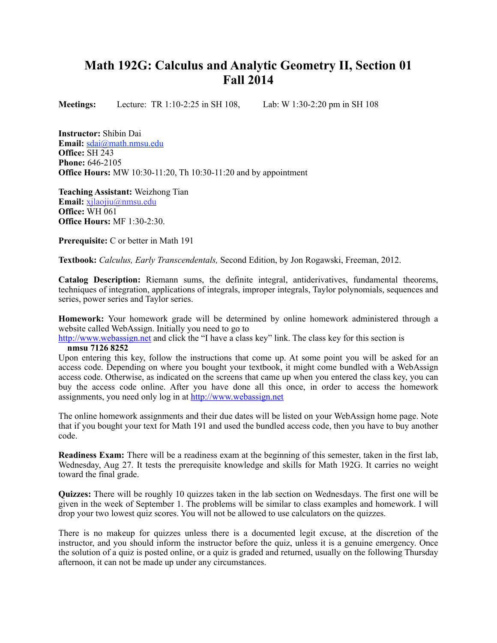## **Math 192G: Calculus and Analytic Geometry II, Section 01 Fall 2014**

**Meetings:** Lecture:TR 1:10-2:25 in SH 108, Lab: W 1:30-2:20 pm in SH 108

**Instructor:** Shibin Dai **Email:** [sdai@math.nmsu.edu](mailto:sdai@math.nmsu.edu) **Office:** SH 243 **Phone:** 646-2105 **Office Hours:** MW 10:30-11:20, Th 10:30-11:20 and by appointment

**Teaching Assistant:** Weizhong Tian **Email:** [xjlaojiu@nmsu.edu](mailto:xjlaojiu@nmsu.edu) **Office:** WH 061 **Office Hours:** MF 1:30-2:30.

**Prerequisite:** C or better in Math 191

**Textbook:** *Calculus, Early Transcendentals,* Second Edition, by Jon Rogawski, Freeman, 2012.

**Catalog Description:** Riemann sums, the definite integral, antiderivatives, fundamental theorems, techniques of integration, applications of integrals, improper integrals, Taylor polynomials, sequences and series, power series and Taylor series.

**Homework:** Your homework grade will be determined by online homework administered through a website called WebAssign. Initially you need to go to

[http://www.webassign.net](http://www.webassign.net/) and click the "I have a class key" link. The class key for this section is

## **nmsu 7126 8252**

Upon entering this key, follow the instructions that come up. At some point you will be asked for an access code. Depending on where you bought your textbook, it might come bundled with a WebAssign access code. Otherwise, as indicated on the screens that came up when you entered the class key, you can buy the access code online. After you have done all this once, in order to access the homework assignments, you need only log in at [http://www.webassign.net](http://www.webassign.net/)

The online homework assignments and their due dates will be listed on your WebAssign home page. Note that if you bought your text for Math 191 and used the bundled access code, then you have to buy another code.

**Readiness Exam:** There will be a readiness exam at the beginning of this semester, taken in the first lab, Wednesday, Aug 27. It tests the prerequisite knowledge and skills for Math 192G. It carries no weight toward the final grade.

**Quizzes:** There will be roughly 10 quizzes taken in the lab section on Wednesdays. The first one will be given in the week of September 1. The problems will be similar to class examples and homework. I will drop your two lowest quiz scores. You will not be allowed to use calculators on the quizzes.

There is no makeup for quizzes unless there is a documented legit excuse, at the discretion of the instructor, and you should inform the instructor before the quiz, unless it is a genuine emergency. Once the solution of a quiz is posted online, or a quiz is graded and returned, usually on the following Thursday afternoon, it can not be made up under any circumstances.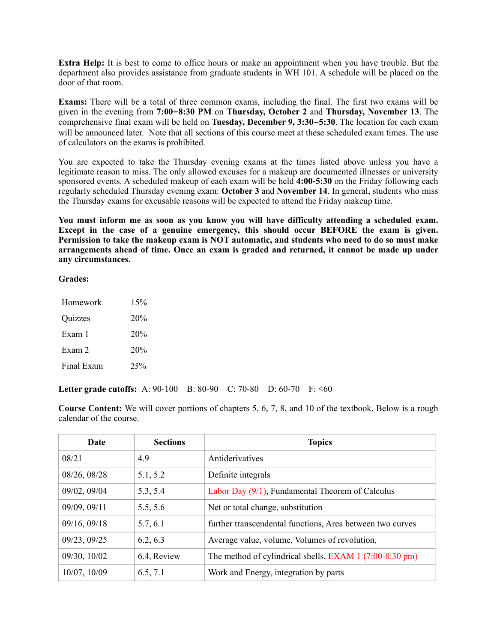**Extra Help:** It is best to come to office hours or make an appointment when you have trouble. But the department also provides assistance from graduate students in WH 101. A schedule will be placed on the door of that room.

**Exams:** There will be a total of three common exams, including the final. The first two exams will be given in the evening from **7:00–8:30 PM** on **Thursday, October 2** and **Thursday, November 13**. The comprehensive final exam will be held on **Tuesday, December 9, 3:30–5:30**. The location for each exam will be announced later. Note that all sections of this course meet at these scheduled exam times. The use of calculators on the exams is prohibited.

You are expected to take the Thursday evening exams at the times listed above unless you have a legitimate reason to miss. The only allowed excuses for a makeup are documented illnesses or university sponsored events. A scheduled makeup of each exam will be held **4:00-5:30** on the Friday following each regularly scheduled Thursday evening exam: **October 3** and **November 14**. In general, students who miss the Thursday exams for excusable reasons will be expected to attend the Friday makeup time.

**You must inform me as soon as you know you will have difficulty attending a scheduled exam. Except in the case of a genuine emergency, this should occur BEFORE the exam is given. Permission to take the makeup exam is NOT automatic, and students who need to do so must make arrangements ahead of time. Once an exam is graded and returned, it cannot be made up under any circumstances.**

**Grades:**

| Homework   | 15%    |
|------------|--------|
| Quizzes    | 20%    |
| Exam 1     | 20%    |
| Exam 2     | 20%    |
| Final Exam | $25\%$ |

**Letter grade cutoffs:** A: 90-100 B: 80-90 C: 70-80 D: 60-70 F: <60

**Course Content:** We will cover portions of chapters 5, 6, 7, 8, and 10 of the textbook. Below is a rough calendar of the course.

| <b>Date</b>  | <b>Sections</b> | <b>Topics</b>                                             |
|--------------|-----------------|-----------------------------------------------------------|
| 08/21        | 4.9             | Antiderivatives                                           |
| 08/26, 08/28 | 5.1, 5.2        | Definite integrals                                        |
| 09/02, 09/04 | 5.3, 5.4        | Labor Day $(9/1)$ , Fundamental Theorem of Calculus       |
| 09/09, 09/11 | 5.5, 5.6        | Net or total change, substitution                         |
| 09/16, 09/18 | 5.7, 6.1        | further transcendental functions, Area between two curves |
| 09/23, 09/25 | 6.2, 6.3        | Average value, volume, Volumes of revolution,             |
| 09/30, 10/02 | 6.4, Review     | The method of cylindrical shells, EXAM 1 (7:00-8:30 pm)   |
| 10/07, 10/09 | 6.5, 7.1        | Work and Energy, integration by parts                     |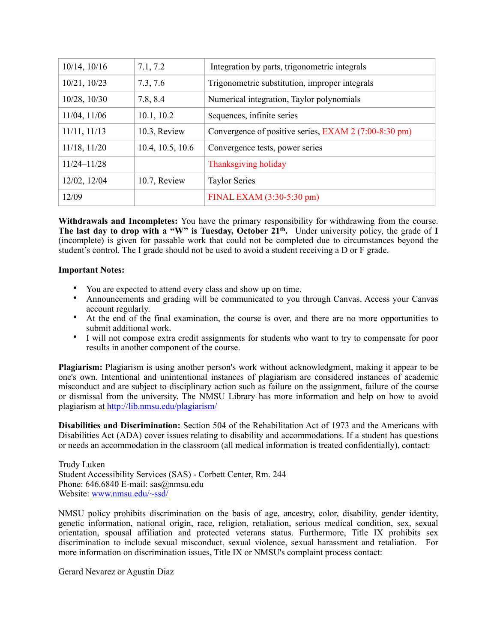| $10/14$ , $10/16$ | 7.1, 7.2         | Integration by parts, trigonometric integrals         |
|-------------------|------------------|-------------------------------------------------------|
| $10/21$ , $10/23$ | 7.3, 7.6         | Trigonometric substitution, improper integrals        |
| $10/28$ , $10/30$ | 7.8, 8.4         | Numerical integration, Taylor polynomials             |
| $11/04$ , $11/06$ | 10.1, 10.2       | Sequences, infinite series                            |
| $11/11$ , $11/13$ | 10.3, Review     | Convergence of positive series, EXAM 2 (7:00-8:30 pm) |
| $11/18$ , $11/20$ | 10.4, 10.5, 10.6 | Convergence tests, power series                       |
| $11/24 - 11/28$   |                  | Thanksgiving holiday                                  |
| 12/02, 12/04      | 10.7, Review     | <b>Taylor Series</b>                                  |
| 12/09             |                  | FINAL EXAM (3:30-5:30 pm)                             |

**Withdrawals and Incompletes:** You have the primary responsibility for withdrawing from the course. **The last day to drop with a "W" is Tuesday, October 21th.** Under university policy, the grade of **I** (incomplete) is given for passable work that could not be completed due to circumstances beyond the student's control. The I grade should not be used to avoid a student receiving a D or F grade.

## **Important Notes:**

- You are expected to attend every class and show up on time.
- Announcements and grading will be communicated to you through Canvas. Access your Canvas account regularly.
- At the end of the final examination, the course is over, and there are no more opportunities to submit additional work.
- I will not compose extra credit assignments for students who want to try to compensate for poor results in another component of the course.

**Plagiarism:** Plagiarism is using another person's work without acknowledgment, making it appear to be one's own. Intentional and unintentional instances of plagiarism are considered instances of academic misconduct and are subject to disciplinary action such as failure on the assignment, failure of the course or dismissal from the university. The NMSU Library has more information and help on how to avoid plagiarism at <http://lib.nmsu.edu/plagiarism/>

**Disabilities and Discrimination:** Section 504 of the Rehabilitation Act of 1973 and the Americans with Disabilities Act (ADA) cover issues relating to disability and accommodations. If a student has questions or needs an accommodation in the classroom (all medical information is treated confidentially), contact:

Trudy Luken Student Accessibility Services (SAS) - Corbett Center, Rm. 244 Phone: 646.6840 E-mail: sas@nmsu.edu Website: [www.nmsu.edu/~ssd/](http://www.nmsu.edu/~ssd/)

NMSU policy prohibits discrimination on the basis of age, ancestry, color, disability, gender identity, genetic information, national origin, race, religion, retaliation, serious medical condition, sex, sexual orientation, spousal affiliation and protected veterans status. Furthermore, Title IX prohibits sex discrimination to include sexual misconduct, sexual violence, sexual harassment and retaliation. For more information on discrimination issues, Title IX or NMSU's complaint process contact:

Gerard Nevarez or Agustin Diaz